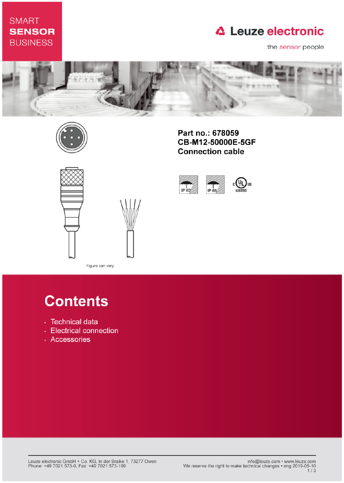## **SMART SENSOR BUSINESS**

## **△ Leuze electronic**

the sensor people





Part no.: 678059 CB-M12-50000E-5GF **Connection cable** 



IP 65

IP 67



Figure can vary

# **Contents**

- · Technical data
- Electrical connection
- · Accessories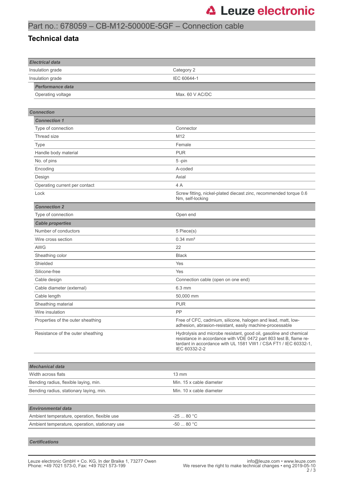## Part no.: 678059 – CB-M12-50000E-5GF – Connection cable

#### **Technical data**

| <b>Electrical data</b>                         |                                                                                                                                                                                                                            |  |  |
|------------------------------------------------|----------------------------------------------------------------------------------------------------------------------------------------------------------------------------------------------------------------------------|--|--|
| Insulation grade                               | Category 2                                                                                                                                                                                                                 |  |  |
| Insulation grade                               | IEC 60644-1                                                                                                                                                                                                                |  |  |
| <b>Performance data</b>                        |                                                                                                                                                                                                                            |  |  |
| Operating voltage                              | Max. 60 V AC/DC                                                                                                                                                                                                            |  |  |
|                                                |                                                                                                                                                                                                                            |  |  |
| <b>Connection</b>                              |                                                                                                                                                                                                                            |  |  |
| <b>Connection 1</b>                            |                                                                                                                                                                                                                            |  |  |
| Type of connection                             | Connector                                                                                                                                                                                                                  |  |  |
| Thread size                                    | M12                                                                                                                                                                                                                        |  |  |
| Type                                           | Female                                                                                                                                                                                                                     |  |  |
| Handle body material                           | <b>PUR</b>                                                                                                                                                                                                                 |  |  |
| No. of pins                                    | 5-pin                                                                                                                                                                                                                      |  |  |
| Encoding                                       | A-coded                                                                                                                                                                                                                    |  |  |
| Design                                         | Axial                                                                                                                                                                                                                      |  |  |
| Operating current per contact                  | 4 A                                                                                                                                                                                                                        |  |  |
| Lock                                           | Screw fitting, nickel-plated diecast zinc, recommended torque 0.6<br>Nm, self-locking                                                                                                                                      |  |  |
| <b>Connection 2</b>                            |                                                                                                                                                                                                                            |  |  |
| Type of connection                             | Open end                                                                                                                                                                                                                   |  |  |
| <b>Cable properties</b>                        |                                                                                                                                                                                                                            |  |  |
| Number of conductors                           | 5 Piece(s)                                                                                                                                                                                                                 |  |  |
| Wire cross section                             | $0.34 \, \text{mm}^2$                                                                                                                                                                                                      |  |  |
| <b>AWG</b>                                     | 22                                                                                                                                                                                                                         |  |  |
| Sheathing color                                | <b>Black</b>                                                                                                                                                                                                               |  |  |
| Shielded                                       | Yes                                                                                                                                                                                                                        |  |  |
| Silicone-free                                  | Yes                                                                                                                                                                                                                        |  |  |
| Cable design                                   | Connection cable (open on one end)                                                                                                                                                                                         |  |  |
| Cable diameter (external)                      | 6.3 mm                                                                                                                                                                                                                     |  |  |
| Cable length                                   | 50,000 mm                                                                                                                                                                                                                  |  |  |
| Sheathing material                             | <b>PUR</b>                                                                                                                                                                                                                 |  |  |
| Wire insulation                                | РP                                                                                                                                                                                                                         |  |  |
| Properties of the outer sheathing              | Free of CFC, cadmium, silicone, halogen and lead, matt, low-<br>adhesion, abrasion-resistant, easily machine-processable                                                                                                   |  |  |
| Resistance of the outer sheathing              | Hydrolysis and microbe resistant, good oil, gasoline and chemical<br>resistance in accordance with VDE 0472 part 803 test B, flame re-<br>tardant in accordance with UL 1581 VW1 / CSA FT1 / IEC 60332-1,<br>IEC 60332-2-2 |  |  |
|                                                |                                                                                                                                                                                                                            |  |  |
| <b>Mechanical data</b>                         |                                                                                                                                                                                                                            |  |  |
| Width across flats                             | 13 mm                                                                                                                                                                                                                      |  |  |
| Bending radius, flexible laying, min.          | Min. 15 x cable diameter                                                                                                                                                                                                   |  |  |
| Bending radius, stationary laying, min.        | Min. 10 x cable diameter                                                                                                                                                                                                   |  |  |
|                                                |                                                                                                                                                                                                                            |  |  |
| <b>Environmental data</b>                      |                                                                                                                                                                                                                            |  |  |
| Ambient temperature, operation, flexible use   | $-2580 °C$                                                                                                                                                                                                                 |  |  |
| Ambient temperature, operation, stationary use | $-5080 °C$                                                                                                                                                                                                                 |  |  |
|                                                |                                                                                                                                                                                                                            |  |  |

*Certifications*